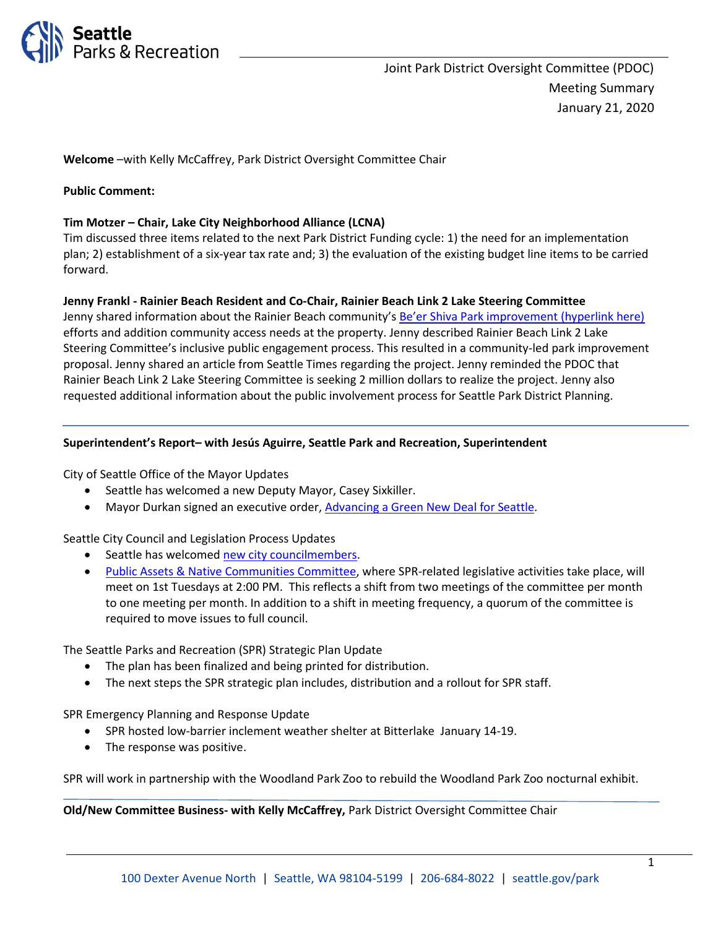

**Welcome** –with Kelly McCaffrey, Park District Oversight Committee Chair

#### **Public Comment:**

#### **Tim Motzer – Chair, Lake City Neighborhood Alliance (LCNA)**

Tim discussed three items related to the next Park District Funding cycle: 1) the need for an implementation plan; 2) establishment of a six-year tax rate and; 3) the evaluation of the existing budget line items to be carried forward.

#### **Jenny Frankl - Rainier Beach Resident and Co-Chair, Rainier Beach Link 2 Lake Steering Committee**

Jenny shared information about the Rainier Beach community'[s Be'er Shiva Park improvement \(hyperlink here\)](https://www.seattle.gov/parks/about-us/current-projects/beer-sheva-park-improvements) efforts and addition community access needs at the property. Jenny described Rainier Beach Link 2 Lake Steering Committee's inclusive public engagement process. This resulted in a community-led park improvement proposal. Jenny shared an article from Seattle Times regarding the project. Jenny reminded the PDOC that Rainier Beach Link 2 Lake Steering Committee is seeking 2 million dollars to realize the project. Jenny also requested additional information about the public involvement process for Seattle Park District Planning.

#### **Superintendent's Report– with Jesús Aguirre, Seattle Park and Recreation, Superintendent**

City of Seattle Office of the Mayor Updates

- Seattle has welcomed a new Deputy Mayor, Casey Sixkiller.
- Mayor Durkan signed an executive order, [Advancing a Green New Deal for Seattle.](https://durkan.seattle.gov/2020/01/mayor-durkan-commits-city-of-seattle-to-new-actions-to-fight-climate-change-through-executive-order-on-green-new-deal/)

Seattle City Council and Legislation Process Updates

- Seattle has welcomed [new city councilmembers.](https://www.seattle.gov/council)
- [Public Assets & Native Communities](https://www.seattle.gov/council/committees/public-assets-and-native-communities) Committee, where SPR-related legislative activities take place, will meet on 1st Tuesdays at 2:00 PM. This reflects a shift from two meetings of the committee per month to one meeting per month. In addition to a shift in meeting frequency, a quorum of the committee is required to move issues to full council.

The Seattle Parks and Recreation (SPR) Strategic Plan Update

- The plan has been finalized and being printed for distribution.
- The next steps the SPR strategic plan includes, distribution and a rollout for SPR staff.

SPR Emergency Planning and Response Update

- SPR hosted low-barrier inclement weather shelter at Bitterlake January 14-19.
- The response was positive.

SPR will work in partnership with the Woodland Park Zoo to rebuild the Woodland Park Zoo nocturnal exhibit.

**Old/New Committee Business- with Kelly McCaffrey,** Park District Oversight Committee Chair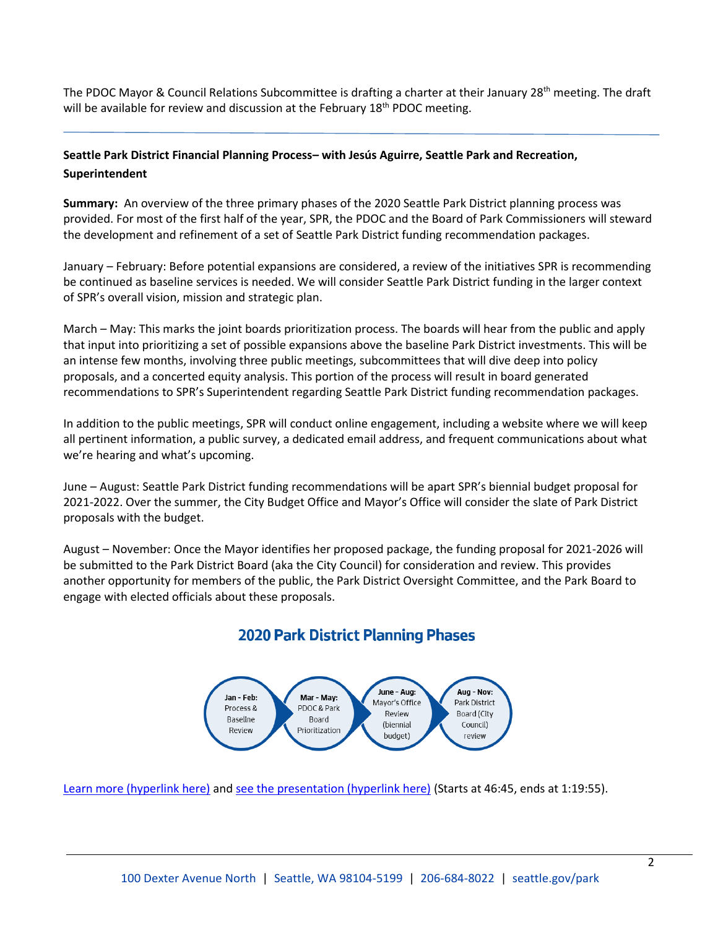The PDOC Mayor & Council Relations Subcommittee is drafting a charter at their January 28<sup>th</sup> meeting. The draft will be available for review and discussion at the February  $18<sup>th</sup>$  PDOC meeting.

### **Seattle Park District Financial Planning Process– with Jesús Aguirre, Seattle Park and Recreation, Superintendent**

**Summary:** An overview of the three primary phases of the 2020 Seattle Park District planning process was provided. For most of the first half of the year, SPR, the PDOC and the Board of Park Commissioners will steward the development and refinement of a set of Seattle Park District funding recommendation packages.

January – February: Before potential expansions are considered, a review of the initiatives SPR is recommending be continued as baseline services is needed. We will consider Seattle Park District funding in the larger context of SPR's overall vision, mission and strategic plan.

March – May: This marks the joint boards prioritization process. The boards will hear from the public and apply that input into prioritizing a set of possible expansions above the baseline Park District investments. This will be an intense few months, involving three public meetings, subcommittees that will dive deep into policy proposals, and a concerted equity analysis. This portion of the process will result in board generated recommendations to SPR's Superintendent regarding Seattle Park District funding recommendation packages.

In addition to the public meetings, SPR will conduct online engagement, including a website where we will keep all pertinent information, a public survey, a dedicated email address, and frequent communications about what we're hearing and what's upcoming.

June – August: Seattle Park District funding recommendations will be apart SPR's biennial budget proposal for 2021-2022. Over the summer, the City Budget Office and Mayor's Office will consider the slate of Park District proposals with the budget.

August – November: Once the Mayor identifies her proposed package, the funding proposal for 2021-2026 will be submitted to the Park District Board (aka the City Council) for consideration and review. This provides another opportunity for members of the public, the Park District Oversight Committee, and the Park Board to engage with elected officials about these proposals.

# **2020 Park District Planning Phases**



[Learn more \(hyperlink here\)](https://www.friendsofwaterfrontseattle.org/coming_soon/) and [see the presentation \(hyperlink here\)](http://www.seattlechannel.org/parksBoard?videoid=x108053&jwsource=cl) (Starts at 46:45, ends at 1:19:55).